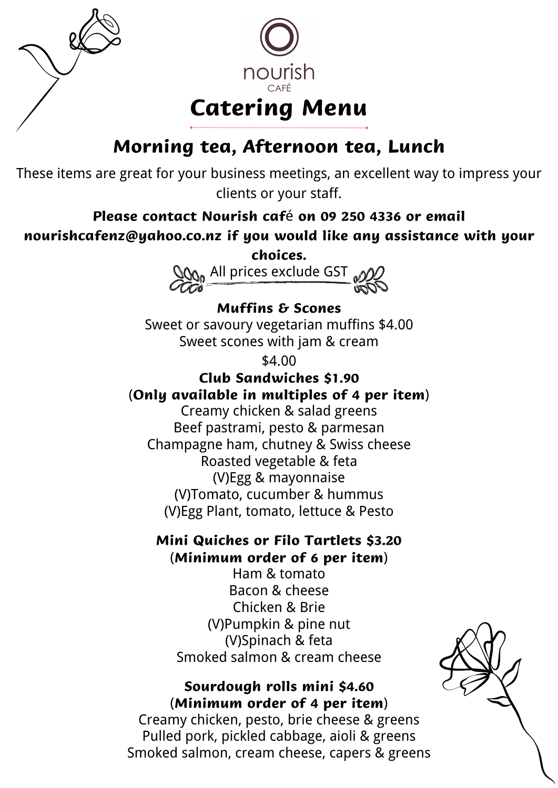



# Morning tea, Afternoon tea, Lunch

These items are great for your business meetings, an excellent way to impress your clients or your staff.

# Please contact Nourish café on 09 250 4336 or email

nourishcafenz@yahoo.co.nz if you would like any assistance with your

choices.  $\log_2$  All prices exclude GST  $\log$ 

Muffins & Scones

Sweet or savoury vegetarian muffins \$4.00 Sweet scones with jam & cream

\$4.00

# Club Sandwiches \$1.90 (Only available in multiples of 4 per item)

Creamy chicken & salad greens (V)Egg & mayonnaise Champagne ham, chutney & Swiss cheese Roasted vegetable & feta Beef pastrami, pesto & parmesan (V)Tomato, cucumber & hummus (V)Egg Plant, tomato, lettuce & Pesto

# Mini Quiches or Filo Tartlets \$3.20 (Minimum order of 6 per item)

Ham & tomato (V)Spinach & feta Bacon & cheese (V)Pumpkin & pine nut Smoked salmon & cream cheese Chicken & Brie

#### Sourdough rolls mini \$4.60 (Minimum order of 4 per item)

Smoked salmon, cream cheese, capers & greens Creamy chicken, pesto, brie cheese & greens Pulled pork, pickled cabbage, aioli & greens